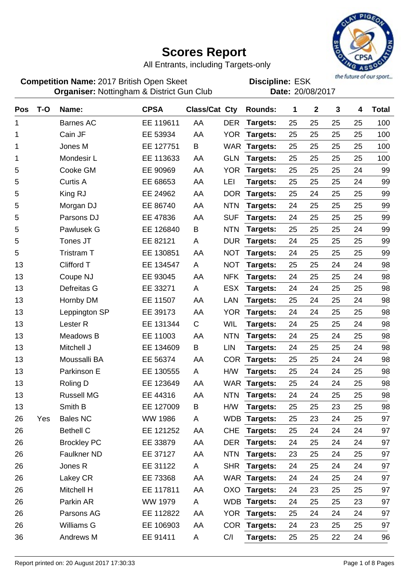

All Entrants, including Targets-only

**Competition Name:** 2017 British Open Skeet **EDIS** Discipline: ESK **Organiser:** Nottingham & District Gun Club **Date:** 20/08/2017

| <b>Pos</b> | $T-O$ | Name:               | <b>CPSA</b>    | Class/Cat Cty |            | <b>Rounds:</b>  | 1  | $\mathbf 2$ | 3  | 4  | <b>Total</b> |
|------------|-------|---------------------|----------------|---------------|------------|-----------------|----|-------------|----|----|--------------|
| 1          |       | <b>Barnes AC</b>    | EE 119611      | AA            | <b>DER</b> | Targets:        | 25 | 25          | 25 | 25 | 100          |
| 1          |       | Cain JF             | EE 53934       | AA            | <b>YOR</b> | Targets:        | 25 | 25          | 25 | 25 | 100          |
| 1          |       | Jones M             | EE 127751      | B             | <b>WAR</b> | Targets:        | 25 | 25          | 25 | 25 | 100          |
| 1          |       | Mondesir L          | EE 113633      | AA            | <b>GLN</b> | Targets:        | 25 | 25          | 25 | 25 | 100          |
| 5          |       | Cooke GM            | EE 90969       | AA            | <b>YOR</b> | Targets:        | 25 | 25          | 25 | 24 | 99           |
| 5          |       | <b>Curtis A</b>     | EE 68653       | AA            | LEI        | Targets:        | 25 | 25          | 25 | 24 | 99           |
| 5          |       | King RJ             | EE 24962       | AA            | <b>DOR</b> | Targets:        | 25 | 24          | 25 | 25 | 99           |
| 5          |       | Morgan DJ           | EE 86740       | AA            | <b>NTN</b> | Targets:        | 24 | 25          | 25 | 25 | 99           |
| 5          |       | Parsons DJ          | EE 47836       | AA            | <b>SUF</b> | Targets:        | 24 | 25          | 25 | 25 | 99           |
| 5          |       | Pawlusek G          | EE 126840      | B             | <b>NTN</b> | Targets:        | 25 | 25          | 25 | 24 | 99           |
| 5          |       | Tones JT            | EE 82121       | A             | <b>DUR</b> | Targets:        | 24 | 25          | 25 | 25 | 99           |
| 5          |       | <b>Tristram T</b>   | EE 130851      | AA            | <b>NOT</b> | Targets:        | 24 | 25          | 25 | 25 | 99           |
| 13         |       | <b>Clifford T</b>   | EE 134547      | A             | <b>NOT</b> | Targets:        | 25 | 25          | 24 | 24 | 98           |
| 13         |       | Coupe NJ            | EE 93045       | AA            | <b>NFK</b> | Targets:        | 24 | 25          | 25 | 24 | 98           |
| 13         |       | Defreitas G         | EE 33271       | A             | <b>ESX</b> | Targets:        | 24 | 24          | 25 | 25 | 98           |
| 13         |       | Hornby DM           | EE 11507       | AA            | <b>LAN</b> | Targets:        | 25 | 24          | 25 | 24 | 98           |
| 13         |       | Leppington SP       | EE 39173       | AA            | <b>YOR</b> | Targets:        | 24 | 24          | 25 | 25 | 98           |
| 13         |       | Lester <sub>R</sub> | EE 131344      | $\mathsf C$   | <b>WIL</b> | Targets:        | 24 | 25          | 25 | 24 | 98           |
| 13         |       | Meadows B           | EE 11003       | AA            | <b>NTN</b> | Targets:        | 24 | 25          | 24 | 25 | 98           |
| 13         |       | Mitchell J          | EE 134609      | B             | <b>LIN</b> | Targets:        | 24 | 25          | 25 | 24 | 98           |
| 13         |       | Moussalli BA        | EE 56374       | AA            | <b>COR</b> | Targets:        | 25 | 25          | 24 | 24 | 98           |
| 13         |       | Parkinson E         | EE 130555      | A             | H/W        | Targets:        | 25 | 24          | 24 | 25 | 98           |
| 13         |       | Roling D            | EE 123649      | AA            | <b>WAR</b> | Targets:        | 25 | 24          | 24 | 25 | 98           |
| 13         |       | <b>Russell MG</b>   | EE 44316       | AA            | <b>NTN</b> | Targets:        | 24 | 24          | 25 | 25 | 98           |
| 13         |       | Smith B             | EE 127009      | B             | H/W        | <b>Targets:</b> | 25 | 25          | 23 | 25 | 98           |
| 26         | Yes   | <b>Bales NC</b>     | <b>WW 1986</b> | A             |            | WDB Targets:    | 25 | 23          | 24 | 25 | 97           |
| 26         |       | <b>Bethell C</b>    | EE 121252      | AA            | <b>CHE</b> | Targets:        | 25 | 24          | 24 | 24 | 97           |
| 26         |       | <b>Brockley PC</b>  | EE 33879       | AA            | <b>DER</b> | Targets:        | 24 | 25          | 24 | 24 | 97           |
| 26         |       | Faulkner ND         | EE 37127       | AA            | <b>NTN</b> | Targets:        | 23 | 25          | 24 | 25 | 97           |
| 26         |       | Jones R             | EE 31122       | A             | <b>SHR</b> | Targets:        | 24 | 25          | 24 | 24 | 97           |
| 26         |       | Lakey CR            | EE 73368       | AA            |            | WAR Targets:    | 24 | 24          | 25 | 24 | 97           |
| 26         |       | <b>Mitchell H</b>   | EE 117811      | AA            |            | OXO Targets:    | 24 | 23          | 25 | 25 | 97           |
| 26         |       | Parkin AR           | WW 1979        | A             |            | WDB Targets:    | 24 | 25          | 25 | 23 | 97           |
| 26         |       | Parsons AG          | EE 112822      | AA            | <b>YOR</b> | Targets:        | 25 | 24          | 24 | 24 | 97           |
| 26         |       | Williams G          | EE 106903      | AA            |            | COR Targets:    | 24 | 23          | 25 | 25 | 97           |
| 36         |       | Andrews M           | EE 91411       | A             | C/I        | Targets:        | 25 | 25          | 22 | 24 | 96           |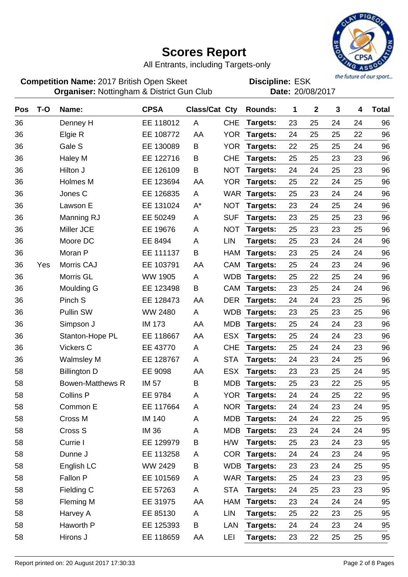

All Entrants, including Targets-only

**Competition Name:** 2017 British Open Skeet **EDIS** Discipline: ESK **Organiser:** Nottingham & District Gun Club **Date:** 20/08/2017

| <b>Pos</b> | $T-O$ | Name:                   | <b>CPSA</b>    | Class/Cat Cty |            | <b>Rounds:</b> | 1  | $\mathbf 2$ | 3  | 4  | <b>Total</b> |
|------------|-------|-------------------------|----------------|---------------|------------|----------------|----|-------------|----|----|--------------|
| 36         |       | Denney H                | EE 118012      | A             | <b>CHE</b> | Targets:       | 23 | 25          | 24 | 24 | 96           |
| 36         |       | Elgie R                 | EE 108772      | AA            | <b>YOR</b> | Targets:       | 24 | 25          | 25 | 22 | 96           |
| 36         |       | Gale S                  | EE 130089      | B             | <b>YOR</b> | Targets:       | 22 | 25          | 25 | 24 | 96           |
| 36         |       | Haley M                 | EE 122716      | Β             | <b>CHE</b> | Targets:       | 25 | 25          | 23 | 23 | 96           |
| 36         |       | Hilton J                | EE 126109      | B             | <b>NOT</b> | Targets:       | 24 | 24          | 25 | 23 | 96           |
| 36         |       | Holmes M                | EE 123694      | AA            | <b>YOR</b> | Targets:       | 25 | 22          | 24 | 25 | 96           |
| 36         |       | Jones C                 | EE 126835      | A             | <b>WAR</b> | Targets:       | 25 | 23          | 24 | 24 | 96           |
| 36         |       | Lawson E                | EE 131024      | $A^*$         | <b>NOT</b> | Targets:       | 23 | 24          | 25 | 24 | 96           |
| 36         |       | Manning RJ              | EE 50249       | Α             | <b>SUF</b> | Targets:       | 23 | 25          | 25 | 23 | 96           |
| 36         |       | Miller JCE              | EE 19676       | Α             | <b>NOT</b> | Targets:       | 25 | 23          | 23 | 25 | 96           |
| 36         |       | Moore DC                | EE 8494        | Α             | <b>LIN</b> | Targets:       | 25 | 23          | 24 | 24 | 96           |
| 36         |       | Moran P                 | EE 111137      | B             | <b>HAM</b> | Targets:       | 23 | 25          | 24 | 24 | 96           |
| 36         | Yes   | Morris CAJ              | EE 103791      | AA            | CAM        | Targets:       | 25 | 24          | 23 | 24 | 96           |
| 36         |       | Morris GL               | <b>WW 1905</b> | A             | <b>WDB</b> | Targets:       | 25 | 22          | 25 | 24 | 96           |
| 36         |       | Moulding G              | EE 123498      | B             | CAM        | Targets:       | 23 | 25          | 24 | 24 | 96           |
| 36         |       | Pinch S                 | EE 128473      | AA            | <b>DER</b> | Targets:       | 24 | 24          | 23 | 25 | 96           |
| 36         |       | <b>Pullin SW</b>        | WW 2480        | A             | <b>WDB</b> | Targets:       | 23 | 25          | 23 | 25 | 96           |
| 36         |       | Simpson J               | <b>IM 173</b>  | AA            | <b>MDB</b> | Targets:       | 25 | 24          | 24 | 23 | 96           |
| 36         |       | Stanton-Hope PL         | EE 118667      | AA            | <b>ESX</b> | Targets:       | 25 | 24          | 24 | 23 | 96           |
| 36         |       | Vickers C               | EE 43770       | A             | <b>CHE</b> | Targets:       | 25 | 24          | 24 | 23 | 96           |
| 36         |       | <b>Walmsley M</b>       | EE 128767      | A             | <b>STA</b> | Targets:       | 24 | 23          | 24 | 25 | 96           |
| 58         |       | <b>Billington D</b>     | EE 9098        | AA            | <b>ESX</b> | Targets:       | 23 | 23          | 25 | 24 | 95           |
| 58         |       | <b>Bowen-Matthews R</b> | <b>IM 57</b>   | B             | <b>MDB</b> | Targets:       | 25 | 23          | 22 | 25 | 95           |
| 58         |       | <b>Collins P</b>        | EE 9784        | A             | <b>YOR</b> | Targets:       | 24 | 24          | 25 | 22 | 95           |
| 58         |       | Common E                | EE 117664      | Α             | <b>NOR</b> | Targets:       | 24 | 24          | 23 | 24 | 95           |
| 58         |       | Cross M                 | <b>IM 140</b>  | A             |            | MDB Targets:   | 24 | 24          | 22 | 25 | 95           |
| 58         |       | Cross S                 | <b>IM 36</b>   | Α             | <b>MDB</b> | Targets:       | 23 | 24          | 24 | 24 | 95           |
| 58         |       | Currie I                | EE 129979      | B             | H/W        | Targets:       | 25 | 23          | 24 | 23 | 95           |
| 58         |       | Dunne J                 | EE 113258      | A             | <b>COR</b> | Targets:       | 24 | 24          | 23 | 24 | 95           |
| 58         |       | English LC              | WW 2429        | Β             |            | WDB Targets:   | 23 | 23          | 24 | 25 | 95           |
| 58         |       | Fallon P                | EE 101569      | A             |            | WAR Targets:   | 25 | 24          | 23 | 23 | 95           |
| 58         |       | Fielding C              | EE 57263       | A             | <b>STA</b> | Targets:       | 24 | 25          | 23 | 23 | 95           |
| 58         |       | Fleming M               | EE 31975       | AA            | HAM        | Targets:       | 23 | 24          | 24 | 24 | 95           |
| 58         |       | Harvey A                | EE 85130       | A             | <b>LIN</b> | Targets:       | 25 | 22          | 23 | 25 | 95           |
| 58         |       | Haworth P               | EE 125393      | B             | LAN        | Targets:       | 24 | 24          | 23 | 24 | 95           |
| 58         |       | Hirons J                | EE 118659      | AA            | LEI        | Targets:       | 23 | 22          | 25 | 25 | 95           |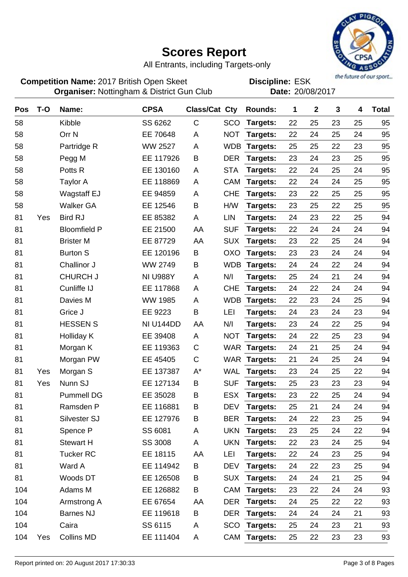

All Entrants, including Targets-only

**Competition Name:** 2017 British Open Skeet **EDIS** Discipline: ESK **Organiser:** Nottingham & District Gun Club **Date:** 20/08/2017

| <b>Pos</b> | $T-O$ | Name:               | <b>CPSA</b>     | Class/Cat Cty |            | <b>Rounds:</b>  | 1  | $\mathbf 2$ | 3  | 4  | <b>Total</b> |
|------------|-------|---------------------|-----------------|---------------|------------|-----------------|----|-------------|----|----|--------------|
| 58         |       | Kibble              | SS 6262         | $\mathsf C$   | SCO        | Targets:        | 22 | 25          | 23 | 25 | 95           |
| 58         |       | Orr <sub>N</sub>    | EE 70648        | Α             | <b>NOT</b> | Targets:        | 22 | 24          | 25 | 24 | 95           |
| 58         |       | Partridge R         | <b>WW 2527</b>  | A             | <b>WDB</b> | Targets:        | 25 | 25          | 22 | 23 | 95           |
| 58         |       | Pegg M              | EE 117926       | B             | <b>DER</b> | Targets:        | 23 | 24          | 23 | 25 | 95           |
| 58         |       | Potts R             | EE 130160       | A             | <b>STA</b> | Targets:        | 22 | 24          | 25 | 24 | 95           |
| 58         |       | <b>Taylor A</b>     | EE 118869       | A             | CAM        | Targets:        | 22 | 24          | 24 | 25 | 95           |
| 58         |       | Wagstaff EJ         | EE 94859        | A             | <b>CHE</b> | Targets:        | 23 | 22          | 25 | 25 | 95           |
| 58         |       | <b>Walker GA</b>    | EE 12546        | B             | H/W        | Targets:        | 23 | 25          | 22 | 25 | 95           |
| 81         | Yes   | <b>Bird RJ</b>      | EE 85382        | Α             | <b>LIN</b> | Targets:        | 24 | 23          | 22 | 25 | 94           |
| 81         |       | <b>Bloomfield P</b> | EE 21500        | AA            | <b>SUF</b> | Targets:        | 22 | 24          | 24 | 24 | 94           |
| 81         |       | <b>Brister M</b>    | EE 87729        | AA            | <b>SUX</b> | Targets:        | 23 | 22          | 25 | 24 | 94           |
| 81         |       | <b>Burton S</b>     | EE 120196       | B             | OXO        | Targets:        | 23 | 23          | 24 | 24 | 94           |
| 81         |       | Challinor J         | WW 2749         | Β             | <b>WDB</b> | Targets:        | 24 | 24          | 22 | 24 | 94           |
| 81         |       | <b>CHURCH J</b>     | <b>NI U988Y</b> | Α             | N/I        | Targets:        | 25 | 24          | 21 | 24 | 94           |
| 81         |       | Cunliffe IJ         | EE 117868       | A             | <b>CHE</b> | Targets:        | 24 | 22          | 24 | 24 | 94           |
| 81         |       | Davies M            | <b>WW 1985</b>  | A             | <b>WDB</b> | Targets:        | 22 | 23          | 24 | 25 | 94           |
| 81         |       | Grice J             | EE 9223         | B             | LEI        | Targets:        | 24 | 23          | 24 | 23 | 94           |
| 81         |       | <b>HESSEN S</b>     | NI U144DD       | AA            | N/I        | Targets:        | 23 | 24          | 22 | 25 | 94           |
| 81         |       | Holliday K          | EE 39408        | Α             | <b>NOT</b> | Targets:        | 24 | 22          | 25 | 23 | 94           |
| 81         |       | Morgan K            | EE 119363       | $\mathsf C$   |            | WAR Targets:    | 24 | 21          | 25 | 24 | 94           |
| 81         |       | Morgan PW           | EE 45405        | $\mathsf C$   | <b>WAR</b> | Targets:        | 21 | 24          | 25 | 24 | 94           |
| 81         | Yes   | Morgan S            | EE 137387       | $A^*$         | <b>WAL</b> | Targets:        | 23 | 24          | 25 | 22 | 94           |
| 81         | Yes   | Nunn SJ             | EE 127134       | B             | <b>SUF</b> | Targets:        | 25 | 23          | 23 | 23 | 94           |
| 81         |       | <b>Pummell DG</b>   | EE 35028        | Β             | <b>ESX</b> | Targets:        | 23 | 22          | 25 | 24 | 94           |
| 81         |       | Ramsden P           | EE 116881       | B             | <b>DEV</b> | Targets:        | 25 | 21          | 24 | 24 | 94           |
| 81         |       | Silvester SJ        | EE 127976       | B             | <b>BER</b> | <b>Targets:</b> | 24 | 22          | 23 | 25 | 94           |
| 81         |       | Spence P            | SS 6081         | Α             |            | UKN Targets:    | 23 | 25          | 24 | 22 | 94           |
| 81         |       | <b>Stewart H</b>    | SS 3008         | A             | <b>UKN</b> | Targets:        | 22 | 23          | 24 | 25 | 94           |
| 81         |       | <b>Tucker RC</b>    | EE 18115        | AA            | LEI        | Targets:        | 22 | 24          | 23 | 25 | 94           |
| 81         |       | Ward A              | EE 114942       | В             | DEV        | Targets:        | 24 | 22          | 23 | 25 | 94           |
| 81         |       | Woods DT            | EE 126508       | B             | <b>SUX</b> | Targets:        | 24 | 24          | 21 | 25 | 94           |
| 104        |       | Adams M             | EE 126882       | В             | CAM        | <b>Targets:</b> | 23 | 22          | 24 | 24 | 93           |
| 104        |       | Armstrong A         | EE 67654        | AA            | <b>DER</b> | Targets:        | 24 | 25          | 22 | 22 | 93           |
| 104        |       | <b>Barnes NJ</b>    | EE 119618       | В             | <b>DER</b> | <b>Targets:</b> | 24 | 24          | 24 | 21 | 93           |
| 104        |       | Caira               | SS 6115         | Α             |            | SCO Targets:    | 25 | 24          | 23 | 21 | 93           |
| 104        | Yes   | Collins MD          | EE 111404       | A             |            | CAM Targets:    | 25 | 22          | 23 | 23 | 93           |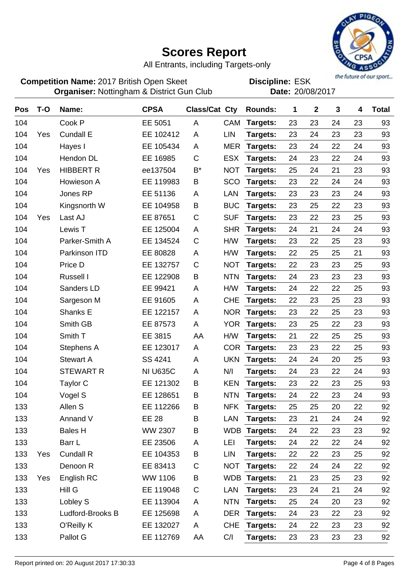

All Entrants, including Targets-only

**Competition Name:** 2017 British Open Skeet **EDIS** Discipline: ESK **Organiser:** Nottingham & District Gun Club **Date:** 20/08/2017

| Pos | $T-O$ | Name:            | <b>CPSA</b>     | Class/Cat Cty |            | <b>Rounds:</b> | 1  | $\mathbf 2$ | 3  | 4  | <b>Total</b> |
|-----|-------|------------------|-----------------|---------------|------------|----------------|----|-------------|----|----|--------------|
| 104 |       | Cook P           | EE 5051         | A             | <b>CAM</b> | Targets:       | 23 | 23          | 24 | 23 | 93           |
| 104 | Yes   | <b>Cundall E</b> | EE 102412       | A             | <b>LIN</b> | Targets:       | 23 | 24          | 23 | 23 | 93           |
| 104 |       | Hayes I          | EE 105434       | Α             | <b>MER</b> | Targets:       | 23 | 24          | 22 | 24 | 93           |
| 104 |       | Hendon DL        | EE 16985        | С             | <b>ESX</b> | Targets:       | 24 | 23          | 22 | 24 | 93           |
| 104 | Yes   | <b>HIBBERT R</b> | ee137504        | B*            | <b>NOT</b> | Targets:       | 25 | 24          | 21 | 23 | 93           |
| 104 |       | Howieson A       | EE 119983       | В             | SCO        | Targets:       | 23 | 22          | 24 | 24 | 93           |
| 104 |       | Jones RP         | EE 51136        | A             | LAN        | Targets:       | 23 | 23          | 23 | 24 | 93           |
| 104 |       | Kingsnorth W     | EE 104958       | B             | <b>BUC</b> | Targets:       | 23 | 25          | 22 | 23 | 93           |
| 104 | Yes   | Last AJ          | EE 87651        | C             | <b>SUF</b> | Targets:       | 23 | 22          | 23 | 25 | 93           |
| 104 |       | Lewis T          | EE 125004       | A             | <b>SHR</b> | Targets:       | 24 | 21          | 24 | 24 | 93           |
| 104 |       | Parker-Smith A   | EE 134524       | C             | H/W        | Targets:       | 23 | 22          | 25 | 23 | 93           |
| 104 |       | Parkinson ITD    | EE 80828        | Α             | H/W        | Targets:       | 22 | 25          | 25 | 21 | 93           |
| 104 |       | Price D          | EE 132757       | C             | <b>NOT</b> | Targets:       | 22 | 23          | 23 | 25 | 93           |
| 104 |       | Russell I        | EE 122908       | B             | <b>NTN</b> | Targets:       | 24 | 23          | 23 | 23 | 93           |
| 104 |       | Sanders LD       | EE 99421        | Α             | H/W        | Targets:       | 24 | 22          | 22 | 25 | 93           |
| 104 |       | Sargeson M       | EE 91605        | A             | <b>CHE</b> | Targets:       | 22 | 23          | 25 | 23 | 93           |
| 104 |       | Shanks E         | EE 122157       | A             | <b>NOR</b> | Targets:       | 23 | 22          | 25 | 23 | 93           |
| 104 |       | Smith GB         | EE 87573        | A             | <b>YOR</b> | Targets:       | 23 | 25          | 22 | 23 | 93           |
| 104 |       | Smith T          | EE 3815         | AA            | H/W        | Targets:       | 21 | 22          | 25 | 25 | 93           |
| 104 |       | Stephens A       | EE 123017       | Α             | <b>COR</b> | Targets:       | 23 | 23          | 22 | 25 | 93           |
| 104 |       | <b>Stewart A</b> | SS 4241         | A             | <b>UKN</b> | Targets:       | 24 | 24          | 20 | 25 | 93           |
| 104 |       | <b>STEWART R</b> | <b>NI U635C</b> | A             | N/I        | Targets:       | 24 | 23          | 22 | 24 | 93           |
| 104 |       | Taylor C         | EE 121302       | B             | <b>KEN</b> | Targets:       | 23 | 22          | 23 | 25 | 93           |
| 104 |       | Vogel S          | EE 128651       | B             | <b>NTN</b> | Targets:       | 24 | 22          | 23 | 24 | 93           |
| 133 |       | Allen S          | EE 112266       | B             | <b>NFK</b> | Targets:       | 25 | 25          | 20 | 22 | 92           |
| 133 |       | Annand V         | <b>EE 28</b>    | B             | LAN        | Targets:       | 23 | 21          | 24 | 24 | 92           |
| 133 |       | <b>Bales H</b>   | WW 2307         | Β             | <b>WDB</b> | Targets:       | 24 | 22          | 23 | 23 | 92           |
| 133 |       | Barr L           | EE 23506        | Α             | LEI        | Targets:       | 24 | 22          | 22 | 24 | 92           |
| 133 | Yes   | <b>Cundall R</b> | EE 104353       | B             | <b>LIN</b> | Targets:       | 22 | 22          | 23 | 25 | 92           |
| 133 |       | Denoon R         | EE 83413        | C             | <b>NOT</b> | Targets:       | 22 | 24          | 24 | 22 | 92           |
| 133 | Yes   | English RC       | <b>WW 1106</b>  | Β             | <b>WDB</b> | Targets:       | 21 | 23          | 25 | 23 | 92           |
| 133 |       | Hill G           | EE 119048       | $\mathsf C$   | LAN        | Targets:       | 23 | 24          | 21 | 24 | 92           |
| 133 |       | Lobley S         | EE 113904       | A             | <b>NTN</b> | Targets:       | 25 | 24          | 20 | 23 | 92           |
| 133 |       | Ludford-Brooks B | EE 125698       | A             | <b>DER</b> | Targets:       | 24 | 23          | 22 | 23 | 92           |
| 133 |       | O'Reilly K       | EE 132027       | A             | <b>CHE</b> | Targets:       | 24 | 22          | 23 | 23 | 92           |
| 133 |       | Pallot G         | EE 112769       | AA            | C/I        | Targets:       | 23 | 23          | 23 | 23 | 92           |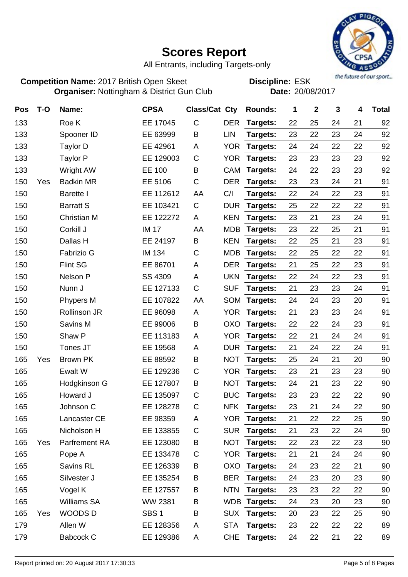

All Entrants, including Targets-only

**Competition Name:** 2017 British Open Skeet **EDIS** Discipline: ESK **Organiser:** Nottingham & District Gun Club **Date:** 20/08/2017

| <b>Pos</b> | T-O | Name:               | <b>CPSA</b>      | <b>Class/Cat Cty</b> |            | <b>Rounds:</b>  | 1  | $\mathbf 2$ | 3  | 4  | <b>Total</b> |
|------------|-----|---------------------|------------------|----------------------|------------|-----------------|----|-------------|----|----|--------------|
| 133        |     | Roe K               | EE 17045         | $\mathsf C$          | <b>DER</b> | Targets:        | 22 | 25          | 24 | 21 | 92           |
| 133        |     | Spooner ID          | EE 63999         | B                    | <b>LIN</b> | Targets:        | 23 | 22          | 23 | 24 | 92           |
| 133        |     | <b>Taylor D</b>     | EE 42961         | A                    | <b>YOR</b> | Targets:        | 24 | 24          | 22 | 22 | 92           |
| 133        |     | Taylor P            | EE 129003        | C                    | <b>YOR</b> | Targets:        | 23 | 23          | 23 | 23 | 92           |
| 133        |     | Wright AW           | EE 100           | B                    | <b>CAM</b> | Targets:        | 24 | 22          | 23 | 23 | 92           |
| 150        | Yes | <b>Badkin MR</b>    | EE 5106          | C                    | <b>DER</b> | Targets:        | 23 | 23          | 24 | 21 | 91           |
| 150        |     | <b>Barette I</b>    | EE 112612        | AA                   | C/I        | Targets:        | 22 | 24          | 22 | 23 | 91           |
| 150        |     | <b>Barratt S</b>    | EE 103421        | C                    | <b>DUR</b> | Targets:        | 25 | 22          | 22 | 22 | 91           |
| 150        |     | <b>Christian M</b>  | EE 122272        | A                    | <b>KEN</b> | Targets:        | 23 | 21          | 23 | 24 | 91           |
| 150        |     | Corkill J           | <b>IM 17</b>     | AA                   | <b>MDB</b> | Targets:        | 23 | 22          | 25 | 21 | 91           |
| 150        |     | Dallas H            | EE 24197         | B                    | <b>KEN</b> | Targets:        | 22 | 25          | 21 | 23 | 91           |
| 150        |     | Fabrizio G          | <b>IM 134</b>    | C                    | <b>MDB</b> | Targets:        | 22 | 25          | 22 | 22 | 91           |
| 150        |     | <b>Flint SG</b>     | EE 86701         | A                    | <b>DER</b> | Targets:        | 21 | 25          | 22 | 23 | 91           |
| 150        |     | Nelson P            | SS 4309          | A                    | <b>UKN</b> | Targets:        | 22 | 24          | 22 | 23 | 91           |
| 150        |     | Nunn J              | EE 127133        | C                    | <b>SUF</b> | Targets:        | 21 | 23          | 23 | 24 | 91           |
| 150        |     | Phypers M           | EE 107822        | AA                   | SOM        | Targets:        | 24 | 24          | 23 | 20 | 91           |
| 150        |     | <b>Rollinson JR</b> | EE 96098         | A                    | <b>YOR</b> | Targets:        | 21 | 23          | 23 | 24 | 91           |
| 150        |     | Savins M            | EE 99006         | B                    | <b>OXO</b> | Targets:        | 22 | 22          | 24 | 23 | 91           |
| 150        |     | Shaw P              | EE 113183        | A                    | <b>YOR</b> | Targets:        | 22 | 21          | 24 | 24 | 91           |
| 150        |     | Tones JT            | EE 19568         | A                    | <b>DUR</b> | Targets:        | 21 | 24          | 22 | 24 | 91           |
| 165        | Yes | Brown PK            | EE 88592         | B                    | <b>NOT</b> | Targets:        | 25 | 24          | 21 | 20 | 90           |
| 165        |     | Ewalt W             | EE 129236        | С                    | <b>YOR</b> | Targets:        | 23 | 21          | 23 | 23 | 90           |
| 165        |     | Hodgkinson G        | EE 127807        | B                    | <b>NOT</b> | Targets:        | 24 | 21          | 23 | 22 | 90           |
| 165        |     | Howard J            | EE 135097        | C                    | <b>BUC</b> | Targets:        | 23 | 23          | 22 | 22 | 90           |
| 165        |     | Johnson C           | EE 128278        | C                    | NFK        | Targets:        | 23 | 21          | 24 | 22 | 90           |
| 165        |     | Lancaster CE        | EE 98359         | A                    |            | YOR Targets:    | 21 | 22          | 22 | 25 | 90           |
| 165        |     | Nicholson H         | EE 133855        | $\mathsf C$          | <b>SUR</b> | Targets:        | 21 | 23          | 22 | 24 | 90           |
| 165        | Yes | Parfrement RA       | EE 123080        | B                    | <b>NOT</b> | Targets:        | 22 | 23          | 22 | 23 | 90           |
| 165        |     | Pope A              | EE 133478        | $\mathsf C$          | <b>YOR</b> | Targets:        | 21 | 21          | 24 | 24 | 90           |
| 165        |     | Savins RL           | EE 126339        | B                    | <b>OXO</b> | Targets:        | 24 | 23          | 22 | 21 | 90           |
| 165        |     | Silvester J         | EE 135254        | B                    | <b>BER</b> | Targets:        | 24 | 23          | 20 | 23 | 90           |
| 165        |     | Vogel K             | EE 127557        | B                    | <b>NTN</b> | Targets:        | 23 | 23          | 22 | 22 | 90           |
| 165        |     | <b>Williams SA</b>  | <b>WW 2381</b>   | B                    |            | WDB Targets:    | 24 | 23          | 20 | 23 | 90           |
| 165        | Yes | WOODS D             | SBS <sub>1</sub> | B                    | <b>SUX</b> | Targets:        | 20 | 23          | 22 | 25 | 90           |
| 179        |     | Allen W             | EE 128356        | A                    | <b>STA</b> | Targets:        | 23 | 22          | 22 | 22 | 89           |
| 179        |     | <b>Babcock C</b>    | EE 129386        | A                    | <b>CHE</b> | <b>Targets:</b> | 24 | 22          | 21 | 22 | 89           |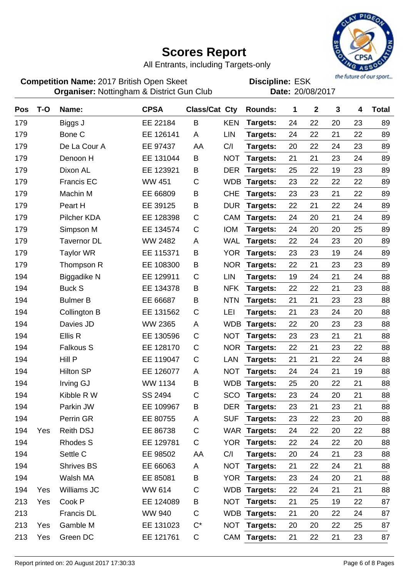

All Entrants, including Targets-only

**Competition Name:** 2017 British Open Skeet **EDIS** Discipline: ESK **Organiser:** Nottingham & District Gun Club **Date:** 20/08/2017

| Pos | $T-O$ | Name:              | <b>CPSA</b>    | <b>Class/Cat Cty</b> |            | <b>Rounds:</b>  | 1  | $\mathbf{2}$ | 3  | 4  | <b>Total</b> |
|-----|-------|--------------------|----------------|----------------------|------------|-----------------|----|--------------|----|----|--------------|
| 179 |       | Biggs J            | EE 22184       | B                    | <b>KEN</b> | Targets:        | 24 | 22           | 20 | 23 | 89           |
| 179 |       | Bone C             | EE 126141      | A                    | LIN        | Targets:        | 24 | 22           | 21 | 22 | 89           |
| 179 |       | De La Cour A       | EE 97437       | AA                   | C/I        | Targets:        | 20 | 22           | 24 | 23 | 89           |
| 179 |       | Denoon H           | EE 131044      | B                    | <b>NOT</b> | Targets:        | 21 | 21           | 23 | 24 | 89           |
| 179 |       | Dixon AL           | EE 123921      | B                    | <b>DER</b> | Targets:        | 25 | 22           | 19 | 23 | 89           |
| 179 |       | <b>Francis EC</b>  | <b>WW 451</b>  | C                    | <b>WDB</b> | Targets:        | 23 | 22           | 22 | 22 | 89           |
| 179 |       | Machin M           | EE 66809       | B                    | <b>CHE</b> | Targets:        | 23 | 23           | 21 | 22 | 89           |
| 179 |       | Peart H            | EE 39125       | B                    | <b>DUR</b> | Targets:        | 22 | 21           | 22 | 24 | 89           |
| 179 |       | Pilcher KDA        | EE 128398      | C                    | <b>CAM</b> | Targets:        | 24 | 20           | 21 | 24 | 89           |
| 179 |       | Simpson M          | EE 134574      | C                    | <b>IOM</b> | Targets:        | 24 | 20           | 20 | 25 | 89           |
| 179 |       | <b>Tavernor DL</b> | WW 2482        | Α                    | <b>WAL</b> | Targets:        | 22 | 24           | 23 | 20 | 89           |
| 179 |       | <b>Taylor WR</b>   | EE 115371      | B                    | <b>YOR</b> | Targets:        | 23 | 23           | 19 | 24 | 89           |
| 179 |       | Thompson R         | EE 108300      | В                    | <b>NOR</b> | Targets:        | 22 | 21           | 23 | 23 | 89           |
| 194 |       | <b>Biggadike N</b> | EE 129911      | C                    | <b>LIN</b> | Targets:        | 19 | 24           | 21 | 24 | 88           |
| 194 |       | <b>Buck S</b>      | EE 134378      | В                    | <b>NFK</b> | Targets:        | 22 | 22           | 21 | 23 | 88           |
| 194 |       | <b>Bulmer B</b>    | EE 66687       | B                    | <b>NTN</b> | Targets:        | 21 | 21           | 23 | 23 | 88           |
| 194 |       | Collington B       | EE 131562      | $\mathsf C$          | LEI        | Targets:        | 21 | 23           | 24 | 20 | 88           |
| 194 |       | Davies JD          | WW 2365        | A                    | <b>WDB</b> | Targets:        | 22 | 20           | 23 | 23 | 88           |
| 194 |       | Ellis R            | EE 130596      | $\mathsf C$          | <b>NOT</b> | Targets:        | 23 | 23           | 21 | 21 | 88           |
| 194 |       | <b>Falkous S</b>   | EE 128170      | $\mathsf C$          | <b>NOR</b> | Targets:        | 22 | 21           | 23 | 22 | 88           |
| 194 |       | Hill P             | EE 119047      | C                    | LAN        | Targets:        | 21 | 21           | 22 | 24 | 88           |
| 194 |       | <b>Hilton SP</b>   | EE 126077      | A                    | <b>NOT</b> | Targets:        | 24 | 24           | 21 | 19 | 88           |
| 194 |       | <b>Irving GJ</b>   | <b>WW 1134</b> | B                    | <b>WDB</b> | Targets:        | 25 | 20           | 22 | 21 | 88           |
| 194 |       | Kibble R W         | SS 2494        | C                    | SCO        | Targets:        | 23 | 24           | 20 | 21 | 88           |
| 194 |       | Parkin JW          | EE 109967      | B                    | <b>DER</b> | <b>Targets:</b> | 23 | 21           | 23 | 21 | 88           |
| 194 |       | Perrin GR          | EE 80755       | A                    | <b>SUF</b> | Targets:        | 23 | 22           | 23 | 20 | 88           |
| 194 | Yes   | <b>Reith DSJ</b>   | EE 86738       | $\mathsf C$          |            | WAR Targets:    | 24 | 22           | 20 | 22 | 88           |
| 194 |       | <b>Rhodes S</b>    | EE 129781      | $\mathsf C$          | <b>YOR</b> | Targets:        | 22 | 24           | 22 | 20 | 88           |
| 194 |       | Settle C           | EE 98502       | AA                   | C/I        | Targets:        | 20 | 24           | 21 | 23 | 88           |
| 194 |       | <b>Shrives BS</b>  | EE 66063       | A                    | <b>NOT</b> | Targets:        | 21 | 22           | 24 | 21 | 88           |
| 194 |       | Walsh MA           | EE 85081       | Β                    | <b>YOR</b> | Targets:        | 23 | 24           | 20 | 21 | 88           |
| 194 | Yes   | Williams JC        | WW 614         | C                    |            | WDB Targets:    | 22 | 24           | 21 | 21 | 88           |
| 213 | Yes   | Cook P             | EE 124089      | B                    | <b>NOT</b> | Targets:        | 21 | 25           | 19 | 22 | 87           |
| 213 |       | <b>Francis DL</b>  | <b>WW 940</b>  | C                    |            | WDB Targets:    | 21 | 20           | 22 | 24 | 87           |
| 213 | Yes   | Gamble M           | EE 131023      | $C^*$                | <b>NOT</b> | Targets:        | 20 | 20           | 22 | 25 | 87           |
| 213 | Yes   | Green DC           | EE 121761      | $\mathsf C$          |            | CAM Targets:    | 21 | 22           | 21 | 23 | 87           |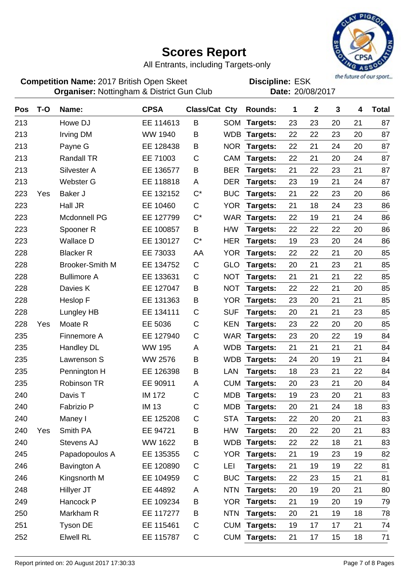

All Entrants, including Targets-only

**Competition Name:** 2017 British Open Skeet **EDIS** Discipline: ESK **Organiser:** Nottingham & District Gun Club **Date:** 20/08/2017

| Pos | $T-O$ | Name:                  | <b>CPSA</b>    | Class/Cat Cty |            | <b>Rounds:</b> | 1  | $\mathbf 2$ | 3  | 4  | <b>Total</b> |
|-----|-------|------------------------|----------------|---------------|------------|----------------|----|-------------|----|----|--------------|
| 213 |       | Howe DJ                | EE 114613      | B             | <b>SOM</b> | Targets:       | 23 | 23          | 20 | 21 | 87           |
| 213 |       | <b>Irving DM</b>       | WW 1940        | B             |            | WDB Targets:   | 22 | 22          | 23 | 20 | 87           |
| 213 |       | Payne G                | EE 128438      | B             | <b>NOR</b> | Targets:       | 22 | 21          | 24 | 20 | 87           |
| 213 |       | <b>Randall TR</b>      | EE 71003       | C             | <b>CAM</b> | Targets:       | 22 | 21          | 20 | 24 | 87           |
| 213 |       | Silvester A            | EE 136577      | B             | <b>BER</b> | Targets:       | 21 | 22          | 23 | 21 | 87           |
| 213 |       | <b>Webster G</b>       | EE 118818      | A             | <b>DER</b> | Targets:       | 23 | 19          | 21 | 24 | 87           |
| 223 | Yes   | Baker J                | EE 132152      | $C^*$         | <b>BUC</b> | Targets:       | 21 | 22          | 23 | 20 | 86           |
| 223 |       | Hall JR                | EE 10460       | C             | <b>YOR</b> | Targets:       | 21 | 18          | 24 | 23 | 86           |
| 223 |       | Mcdonnell PG           | EE 127799      | $C^*$         | <b>WAR</b> | Targets:       | 22 | 19          | 21 | 24 | 86           |
| 223 |       | Spooner <sub>R</sub>   | EE 100857      | B             | H/W        | Targets:       | 22 | 22          | 22 | 20 | 86           |
| 223 |       | <b>Wallace D</b>       | EE 130127      | $C^*$         | <b>HER</b> | Targets:       | 19 | 23          | 20 | 24 | 86           |
| 228 |       | <b>Blacker R</b>       | EE 73033       | AA            | <b>YOR</b> | Targets:       | 22 | 22          | 21 | 20 | 85           |
| 228 |       | <b>Brooker-Smith M</b> | EE 134752      | C             | GLO        | Targets:       | 20 | 21          | 23 | 21 | 85           |
| 228 |       | <b>Bullimore A</b>     | EE 133631      | C             | <b>NOT</b> | Targets:       | 21 | 21          | 21 | 22 | 85           |
| 228 |       | Davies K               | EE 127047      | B             | <b>NOT</b> | Targets:       | 22 | 22          | 21 | 20 | 85           |
| 228 |       | Heslop F               | EE 131363      | B             | <b>YOR</b> | Targets:       | 23 | 20          | 21 | 21 | 85           |
| 228 |       | Lungley HB             | EE 134111      | $\mathsf C$   | <b>SUF</b> | Targets:       | 20 | 21          | 21 | 23 | 85           |
| 228 | Yes   | Moate R                | EE 5036        | $\mathsf C$   | <b>KEN</b> | Targets:       | 23 | 22          | 20 | 20 | 85           |
| 235 |       | Finnemore A            | EE 127940      | $\mathsf C$   |            | WAR Targets:   | 23 | 20          | 22 | 19 | 84           |
| 235 |       | <b>Handley DL</b>      | <b>WW 195</b>  | Α             |            | WDB Targets:   | 21 | 21          | 21 | 21 | 84           |
| 235 |       | Lawrenson S            | <b>WW 2576</b> | B             | <b>WDB</b> | Targets:       | 24 | 20          | 19 | 21 | 84           |
| 235 |       | Pennington H           | EE 126398      | B             | LAN        | Targets:       | 18 | 23          | 21 | 22 | 84           |
| 235 |       | <b>Robinson TR</b>     | EE 90911       | A             | <b>CUM</b> | Targets:       | 20 | 23          | 21 | 20 | 84           |
| 240 |       | Davis T                | <b>IM 172</b>  | C             | <b>MDB</b> | Targets:       | 19 | 23          | 20 | 21 | 83           |
| 240 |       | Fabrizio P             | IM 13          | C             | MDB        | Targets:       | 20 | 21          | 24 | 18 | 83           |
| 240 |       | Maney I                | EE 125208      | $\mathsf C$   | <b>STA</b> | Targets:       | 22 | 20          | 20 | 21 | 83           |
| 240 | Yes   | Smith PA               | EE 94721       | B             | H/W        | Targets:       | 20 | 22          | 20 | 21 | 83           |
| 240 |       | Stevens AJ             | WW 1622        | Β             |            | WDB Targets:   | 22 | 22          | 18 | 21 | 83           |
| 245 |       | Papadopoulos A         | EE 135355      | C             | <b>YOR</b> | Targets:       | 21 | 19          | 23 | 19 | 82           |
| 246 |       | <b>Bavington A</b>     | EE 120890      | $\mathsf C$   | LEI        | Targets:       | 21 | 19          | 19 | 22 | 81           |
| 246 |       | Kingsnorth M           | EE 104959      | $\mathsf C$   | <b>BUC</b> | Targets:       | 22 | 23          | 15 | 21 | 81           |
| 248 |       | Hillyer JT             | EE 44892       | Α             | <b>NTN</b> | Targets:       | 20 | 19          | 20 | 21 | 80           |
| 249 |       | Hancock P              | EE 109234      | B             | <b>YOR</b> | Targets:       | 21 | 19          | 20 | 19 | 79           |
| 250 |       | Markham R              | EE 117277      | B             | <b>NTN</b> | Targets:       | 20 | 21          | 19 | 18 | 78           |
| 251 |       | <b>Tyson DE</b>        | EE 115461      | $\mathsf C$   |            | CUM Targets:   | 19 | 17          | 17 | 21 | 74           |
| 252 |       | <b>Elwell RL</b>       | EE 115787      | $\mathsf C$   |            | CUM Targets:   | 21 | 17          | 15 | 18 | 71           |